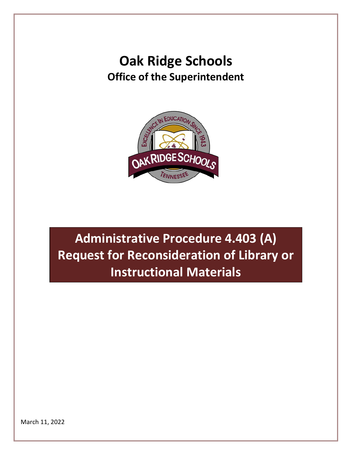### **Oak Ridge Schools Office of the Superintendent**



**Administrative Procedure 4.403 (A) Request for Reconsideration of Library or Instructional Materials**

March 11, 2022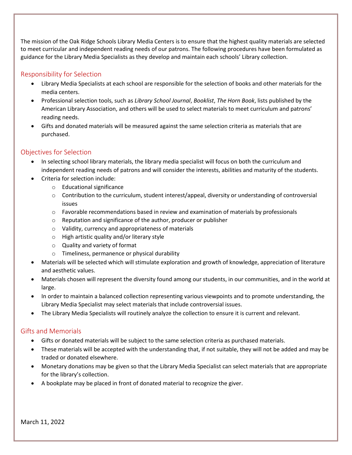The mission of the Oak Ridge Schools Library Media Centers is to ensure that the highest quality materials are selected to meet curricular and independent reading needs of our patrons. The following procedures have been formulated as guidance for the Library Media Specialists as they develop and maintain each schools' Library collection.

#### Responsibility for Selection

- Library Media Specialists at each school are responsible for the selection of books and other materials for the media centers.
- Professional selection tools, such as *Library School Journal*, *Booklist*, *The Horn Book*, lists published by the American Library Association, and others will be used to select materials to meet curriculum and patrons' reading needs.
- Gifts and donated materials will be measured against the same selection criteria as materials that are purchased.

#### Objectives for Selection

- In selecting school library materials, the library media specialist will focus on both the curriculum and independent reading needs of patrons and will consider the interests, abilities and maturity of the students.
- Criteria for selection include:
	- o Educational significance
	- o Contribution to the curriculum, student interest/appeal, diversity or understanding of controversial issues
	- $\circ$  Favorable recommendations based in review and examination of materials by professionals
	- o Reputation and significance of the author, producer or publisher
	- o Validity, currency and appropriateness of materials
	- o High artistic quality and/or literary style
	- o Quality and variety of format
	- o Timeliness, permanence or physical durability
- Materials will be selected which will stimulate exploration and growth of knowledge, appreciation of literature and aesthetic values.
- Materials chosen will represent the diversity found among our students, in our communities, and in the world at large.
- In order to maintain a balanced collection representing various viewpoints and to promote understanding, the Library Media Specialist may select materials that include controversial issues.
- The Library Media Specialists will routinely analyze the collection to ensure it is current and relevant.

#### Gifts and Memorials

- Gifts or donated materials will be subject to the same selection criteria as purchased materials.
- These materials will be accepted with the understanding that, if not suitable, they will not be added and may be traded or donated elsewhere.
- Monetary donations may be given so that the Library Media Specialist can select materials that are appropriate for the library's collection.
- A bookplate may be placed in front of donated material to recognize the giver.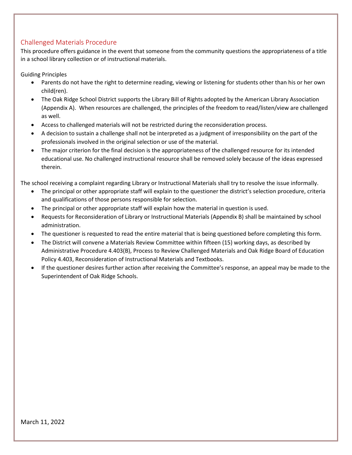#### Challenged Materials Procedure

This procedure offers guidance in the event that someone from the community questions the appropriateness of a title in a school library collection or of instructional materials.

Guiding Principles

- Parents do not have the right to determine reading, viewing or listening for students other than his or her own child(ren).
- The Oak Ridge School District supports the Library Bill of Rights adopted by the American Library Association (Appendix A). When resources are challenged, the principles of the freedom to read/listen/view are challenged as well.
- Access to challenged materials will not be restricted during the reconsideration process.
- A decision to sustain a challenge shall not be interpreted as a judgment of irresponsibility on the part of the professionals involved in the original selection or use of the material.
- The major criterion for the final decision is the appropriateness of the challenged resource for its intended educational use. No challenged instructional resource shall be removed solely because of the ideas expressed therein.

The school receiving a complaint regarding Library or Instructional Materials shall try to resolve the issue informally.

- The principal or other appropriate staff will explain to the questioner the district's selection procedure, criteria and qualifications of those persons responsible for selection.
- The principal or other appropriate staff will explain how the material in question is used.
- Requests for Reconsideration of Library or Instructional Materials (Appendix B) shall be maintained by school administration.
- The questioner is requested to read the entire material that is being questioned before completing this form.
- The District will convene a Materials Review Committee within fifteen (15) working days, as described by Administrative Procedure 4.403(B), Process to Review Challenged Materials and Oak Ridge Board of Education Policy 4.403, Reconsideration of Instructional Materials and Textbooks.
- If the questioner desires further action after receiving the Committee's response, an appeal may be made to the Superintendent of Oak Ridge Schools.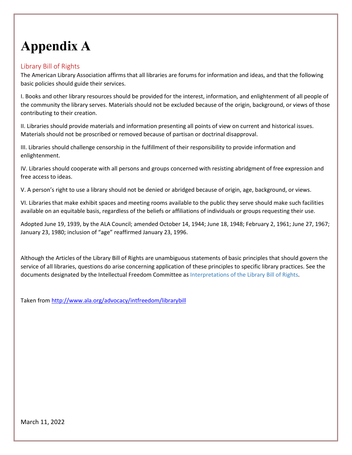# **Appendix A**

#### Library Bill of Rights

The American Library Association affirms that all libraries are forums for information and ideas, and that the following basic policies should guide their services.

I. Books and other library resources should be provided for the interest, information, and enlightenment of all people of the community the library serves. Materials should not be excluded because of the origin, background, or views of those contributing to their creation.

II. Libraries should provide materials and information presenting all points of view on current and historical issues. Materials should not be proscribed or removed because of partisan or doctrinal disapproval.

III. Libraries should challenge censorship in the fulfillment of their responsibility to provide information and enlightenment.

IV. Libraries should cooperate with all persons and groups concerned with resisting abridgment of free expression and free access to ideas.

V. A person's right to use a library should not be denied or abridged because of origin, age, background, or views.

VI. Libraries that make exhibit spaces and meeting rooms available to the public they serve should make such facilities available on an equitable basis, regardless of the beliefs or affiliations of individuals or groups requesting their use.

Adopted June 19, 1939, by the ALA Council; amended October 14, 1944; June 18, 1948; February 2, 1961; June 27, 1967; January 23, 1980; inclusion of "age" reaffirmed January 23, 1996.

Although the Articles of the Library Bill of Rights are unambiguous statements of basic principles that should govern the service of all libraries, questions do arise concerning application of these principles to specific library practices. See the documents designated by the Intellectual Freedom Committee as [Interpretations](http://www.ala.org/advocacy/intfreedom/librarybill/interpretations) of the Library Bill of Rights.

Taken fro[m http://www.ala.org/advocacy/intfreedom/librarybill](http://www.ala.org/advocacy/intfreedom/librarybill)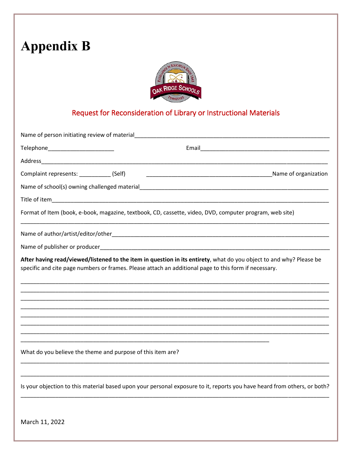## **Appendix B**



### Request for Reconsideration of Library or Instructional Materials

| Name of person initiating review of material                                                          |                                                                                                                          |
|-------------------------------------------------------------------------------------------------------|--------------------------------------------------------------------------------------------------------------------------|
| Telephone_________________________                                                                    |                                                                                                                          |
|                                                                                                       |                                                                                                                          |
| Complaint represents: _____________(Self)                                                             |                                                                                                                          |
|                                                                                                       |                                                                                                                          |
|                                                                                                       |                                                                                                                          |
|                                                                                                       | Format of Item (book, e-book, magazine, textbook, CD, cassette, video, DVD, computer program, web site)                  |
|                                                                                                       |                                                                                                                          |
|                                                                                                       |                                                                                                                          |
| specific and cite page numbers or frames. Please attach an additional page to this form if necessary. | After having read/viewed/listened to the item in question in its entirety, what do you object to and why? Please be      |
| What do you believe the theme and purpose of this item are?                                           |                                                                                                                          |
|                                                                                                       | Is your objection to this material based upon your personal exposure to it, reports you have heard from others, or both? |

March 11, 2022